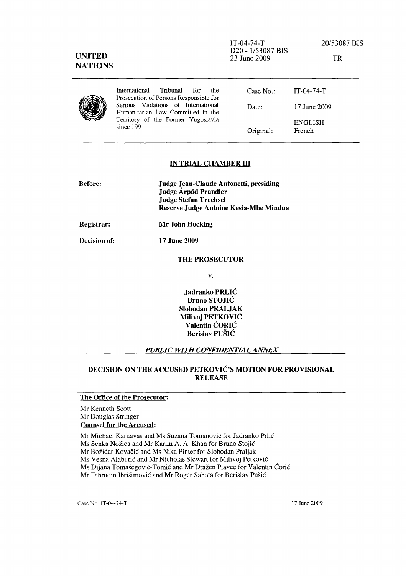| <b>UNITED</b><br><b>NATIONS</b> |                                                                                                                              | $IT-(04-74-T)$<br>D20 - 1/53087 BIS<br>23 June 2009 | 20/53087 BIS<br>TR       |
|---------------------------------|------------------------------------------------------------------------------------------------------------------------------|-----------------------------------------------------|--------------------------|
|                                 | International<br>Tribunal<br>the<br>for<br>Prosecution of Persons Responsible for                                            | Case No.                                            | $IT-04-74-T$             |
|                                 | Serious Violations of International<br>Humanitarian Law Committed in the<br>Territory of the Former Yugoslavia<br>since 1991 | Date:                                               | 17 June 2009             |
|                                 |                                                                                                                              | Original:                                           | <b>ENGLISH</b><br>French |

#### IN TRIAL CHAMBER **III**

| <b>Before:</b> | Judge Jean-Claude Antonetti, presiding<br>Judge Árpád Prandler<br><b>Judge Stefan Trechsel</b><br>Reserve Judge Antoine Kesia-Mbe Mindua |
|----------------|------------------------------------------------------------------------------------------------------------------------------------------|
| Registrar:     | Mr John Hocking                                                                                                                          |
| Decision of:   | 17 June 2009                                                                                                                             |

#### THE PROSECUTOR

v.

Jadranko PRLIC Bruno STOJIC Siobodan PRALJAK Milivoj PETKOVIC Valentin CORIC Berislav PUSIC

#### *PUBLIC WITH CONFIDENTIAL ANNEX*

# DECISION ON THE ACCUSED PETKOVIC'S MOTION FOR PROVISIONAL RELEASE

# The Office of the Prosecutor:

Mr Kenneth Scott Mr Douglas Stringer Counsel for the Accused:

Mr Michael Karnavas and Ms Suzana Tomanovic for ladranko Prlic

Ms Senka Nožica and Mr Karim A. A. Khan for Bruno Stojić

Mr Bozidar Kovacic and Ms Nika Pinter for Slobodan Praljak

Ms Vesna Alaburic and Mr Nicholas Stewart for Milivoj Petkovie

Ms Dijana Tomašegović-Tomić and Mr Dražen Plavec for Valentin Ćorić

Mr Fahrudin Ibrišimović and Mr Roger Sahota for Berislav Pušić

Case No. IT-04-74-T 17 June 2009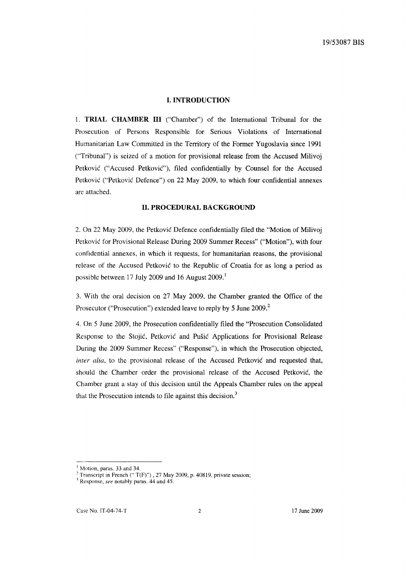#### **I. INTRODUCTION**

1. **TRIAL CHAMBER III** ("Chamber") of the International Tribunal for the Prosecution of Persons Responsible for Serious Violations of International Humanitarian Law Committed in the Territory of the Former Yugoslavia since 1991 ("Tribunal") is seized of a motion for provisional release from the Accused Milivoj Petković ("Accused Petković"), filed confidentially by Counsel for the Accused Petković ("Petković Defence") on 22 May 2009, to which four confidential annexes are attached.

## **II. PROCEDURAL BACKGROUND**

2. On 22 May 2009, the Petkovic Defence confidentially filed the "Motion of Milivoj Petkovic for Provisional Release During 2009 Summer Recess" ("Motion"), with four confidential annexes, in which it requests, for humanitarian reasons, the provisional release of the Accused Petkovic to the Republic of Croatia for as long a period as possible between 17 July 2009 and 16 August 2009.<sup>1</sup>

3. With the oral decision on 27 May 2009, the Chamber granted the Office of the Prosecutor ("Prosecution") extended leave to reply by 5 June 2009.<sup>2</sup>

4. On 5 June 2009, the Prosecution confidentially filed the "Prosecution Consolidated Response to the Stojic, Petkovic and Pusic Applications for Provisional Release During the 2009 Summer Recess" ("Response"), in which the Prosecution objected, *inter alia,* to the provisional release of the Accused Petkovic and requested that, should the Chamber order the provisional release of the Accused Petkovic, the Chamber grant a stay of this decision until the Appeals Chamber rules on the appeal that the Prosecution intends to file against this decision. $3$ 

<sup>&</sup>lt;sup>1</sup> Motion, paras. 33 and 34.

 $2$  Transcript in French ("T(F)"), 27 May 2009, p. 40819, private session;

<sup>]</sup> Response, *see* notably paras. 44 and 45.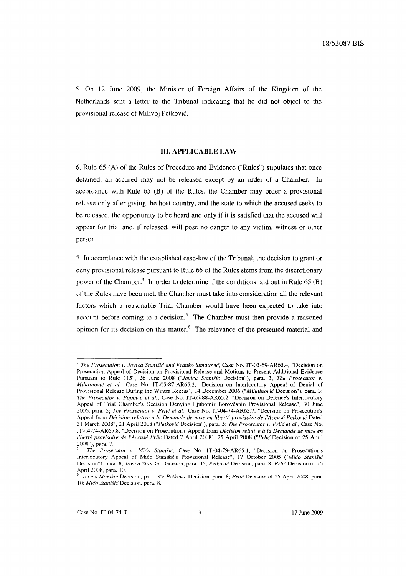5. On 12 June 2009, the Minister of Foreign Affairs of the Kingdom of the Netherlands sent a letter to the Tribunal indicating that he did not object to the provisional release of Milivoj Petkovic.

# **III. APPLICABLE LAW**

6. Rule 65 (A) of the Rules of Procedure and Evidence ("Rules") stipulates that once detained, an accused may not be released except by an order of a Chamber. In accordance with Rule 65 (B) of the Rules, the Chamber may order a provisional release only after giving the host country, and the state to which the accused seeks to be released, the opportunity to be heard and only if it is satisfied that the accused will appear for trial and, if released, will pose no danger to any victim, witness or other person.

7. [n accordance with the established case-law of the Tribunal, the decision to grant or deny provisional release pursuant to Rule 65 of the Rules stems from the discretionary power of the Chamber.<sup>4</sup> In order to determine if the conditions laid out in Rule 65  $(B)$ of the Rules have been met, the Chamber must take into consideration all the relevant factors which a reasonable Trial Chamber would have been expected to take into account before coming to a decision.<sup>5</sup> The Chamber must then provide a reasoned opinion for its decision on this matter.6 The relevance of the presented material and

<sup>&</sup>lt;sup>4</sup> The Prosecution v. Jovica Stanišić and Franko Simatović, Case No. IT-03-69-AR65.4, "Decision on Prosecution Appeal of Decision on Provisional Release and Motions to Present Additional Evidence Pursuant to Rule 115", 26 June 2008 *("Jovica Stanišić* Decision"), para. 3; The Prosecutor v. *Milutinovid et al.,* Case No. IT-05-87-AR65.2, "Decision on Interlocutory Appeal of Denial of Provisional Release During the Winter Recess", 14 December 2006 *("Milutinović* Decision"), para. 3; The Prosecutor v. Popović et al., Case No. IT-65-88-AR65.2, "Decision on Defence's Interlocutory Appeal of Trial Chamber's Decision Denying Ljubomir Borovčanin Provisional Release", 30 June 2006, para. 5; *The Prosecutor v. Prlić et al.*, Case No. IT-04-74-AR65.7, "Decision on Prosecution's Appeal from *Décision relative à la Demande de mise en liberté provisoire de l'Accusé Petković Dated* 31 March 2008", 21 April 2008 ("Petković Decision"), para. 5; *The Prosecutor v. Prlić et al.*, Case No. IT-04-74-AR65.8, "Decision on Prosecution's Appeal from *Decision relative* it *la Demande de mise en liberté provisoire de l'Accusé Prlić Dated 7 April 2008", 25 April 2008 ("Prlić Decision of 25 April* 2008"), para. 7.

*The Prosecutor v. Mićo Stanišić*, Case No. IT-04-79-AR65.1, "Decision on Prosecution's Interlocutory Appeal of Mico Stanišic's Provisional Release", 17 October 2005 *("Mico Stanišic* Decision"), para. 8; *Jovica Stanišić* Decision, para. 35; *Petković* Decision, para. 8; *Prlić* Decision of 25 April 2008, para. 10.

r. *Jovica StanWL'Decision,* para. 35; *Petkovic* Decision, para. 8; *Prlic* Decision of 25 April 2008, para. 10; Mićo Stanišić Decision, para. 8.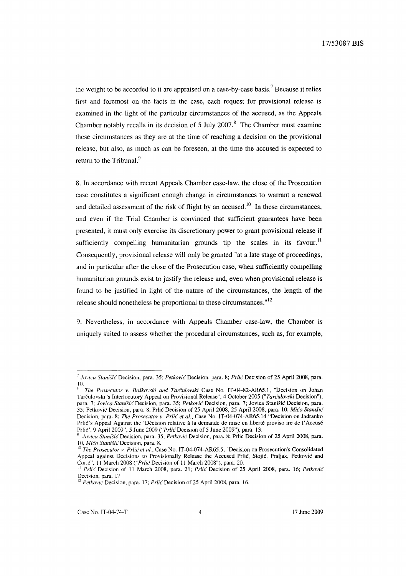the weight to be accorded to it are appraised on a case-by-case basis.? Because it relies first and foremost on the facts in the case, each request for provisional release is examined in the light of the particular circumstances of the accused, as the Appeals Chamber notably recalls in its decision of  $5$  July 2007.<sup>8</sup> The Chamber must examine these circumstances as they are at the time of reaching a decision on the provisional release, but also, as much as can be foreseen, at the time the accused is expected to return to the Tribunal.<sup>9</sup>

8. In accordance with recent Appeals Chamber case-law, the close of the Prosecution case constitutes a significant enough change in circumstances to warrant a renewed and detailed assessment of the risk of flight by an accused.<sup>10</sup> In these circumstances, and even if the Trial Chamber is convinced that sufficient guarantees have been presented, it must only exercise its discretionary power to grant provisional release if sufficiently compelling humanitarian grounds tip the scales in its favour.<sup>11</sup> Consequently, provisional release will only be granted "at a late stage of proceedings, and in particular after the close of the Prosecution case, when sufficiently compelling humanitarian grounds exist to justify the release and, even when provisional release is found to be justified in light of the nature of the circumstances, the length of the release should nonetheless be proportional to these circumstances." 12

9. Nevertheless, in accordance with Appeals Chamber case-law, the Chamber is uniquely suited to assess whether the procedural circumstances, such as, for example,

<sup>7</sup>*jovica Stanish:* Decision, para. 35; *Petkovic* Decision, para. 8; *Prlic* Decision of 25 April 2008, para. 10.

<sup>g</sup>*The Prosecutor v. BoJkovski and Tarculovski* Case No. IT-04-82-AR65.1, "Decision on Johan Tarculovski 's Interlocutory Appeal on Provisional Release", 4 October 2005 *("Tarculovski* Decision"), para. 7; *Jovica Stanišić* Decision, para. 35; *Petković* Decision, para. 7; Jovica Stanišić Decision, para. 35; Petkovic Decision, para. 8; Prlic Decision of 25 April 2008, 25 April 2008, para. 10; *Mico Stanisic*  Decision, para. 8; *The Prosecutor v. Prlic et al.,* Case No. IT-04-074-AR65.14 "Decision on Jadranko Prlic's Appeal Against the 'Décision relative à la demande de mise en liberté proviso ire de l'Accusé Prlic', 9 April 2009", 5 June 2009 *("Prlic* Decision of 5 June 2009"), para. 13.

*<sup>9</sup> jovica StaniJic* Decision, para. 35; *Petkovic* Decision, para. 8; Prlic Decision of 25 April 2008, para. 10, Mićo Stanišić Decision, para. 8.

<sup>10</sup>*The Prosecutor v. Prlic et aI.,* Case No. IT-04-074-AR65.5, "Decision on Prosecution's Consolidated Appeal against Decisions to Provisionally Release the Accused Prlic, Stojic, Praljak, Petkovic and CoriC", II March 2008 *("Prlic* Decision of II March 2008"), para. 20.

<sup>&</sup>lt;sup>11</sup> *Prlić* Decision of 11 March 2008, para. 21; *Prlić* Decision of 25 April 2008, para. 16; *Petković* Decision, para. 17.

<sup>&</sup>lt;sup>12</sup> Petković Decision, para. 17; Prlić Decision of 25 April 2008, para. 16.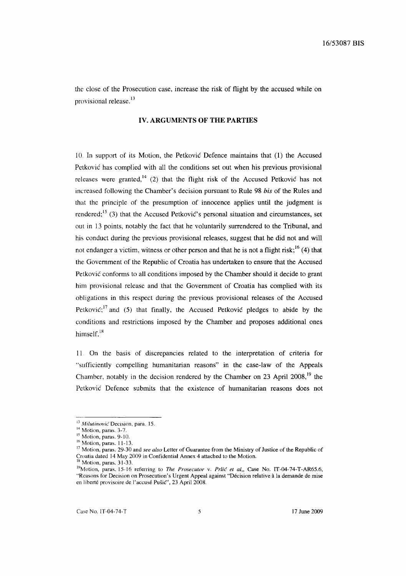the close of the Prosecution case, increase the risk of flight by the accused while on provisional release.<sup>13</sup>

## **IV. ARGUMENTS OF THE PARTIES**

10. In support of its Motion, the Petkovic Defence maintains that (1) the Accused Petkovic has complied with all the conditions set out when his previous provisional releases were granted,<sup>14</sup> (2) that the flight risk of the Accused Petković has not increased following the Chamber's decision pursuant to Rule 98 *his* of the Rules and that the principle of the presumption of innocence applies until the judgment is rendered;<sup>15</sup> (3) that the Accused Petkovic's personal situation and circumstances, set out in 13 points, notably the fact that he voluntarily surrendered to the Tribunal, and his conduct during the previous provisional releases, suggest that he did not and will not endanger a victim, witness or other person and that he is not a flight risk;<sup>16</sup> (4) that the Government of the Republic of Croatia has undertaken to ensure that the Accused Petkovic conforms to all conditions imposed by the Chamber should it decide to grant him provisional release and that the Government of Croatia has complied with its obligations in this respect during the previous provisional releases of the Accused Petković;<sup>17</sup> and (5) that finally, the Accused Petković pledges to abide by the conditions and restrictions imposed by the Chamber and proposes additional ones himself. $18$ 

11 On the basis of discrepancies related to the interpretation of criteria for "sufficiently compelling humanitarian reasons" in the case-law of the Appeals Chamber, notably in the decision rendered by the Chamber on 23 April 2008,<sup>19</sup> the Petkovic Defence submits that the existence of humanitarian reasons does not

<sup>&</sup>lt;sup>13</sup> Milutinović Decision, para. 15.

<sup>&</sup>lt;sup>14</sup> Motion, paras. 3-7.

<sup>&</sup>lt;sup>15</sup> Motion, paras. 9-10.

<sup>&</sup>lt;sup>16</sup> Motion, paras. 11-13.

<sup>17</sup> Motion, paras. 29-30 and *see also* Letter of Guarantee from the Ministry of Justice of the Republic of Croatia dated 14 May 2009 in Confidential Annex 4 attached to the Motion.

<sup>&</sup>lt;sup>18</sup> Motion, paras. 31-33.

<sup>&</sup>lt;sup>19</sup>Motion, paras. 15-16 referring to *The Prosecutor v. Prlić et al.*, Case No. IT-04-74-T-AR65.6, "Reasons for Decision on Prosecution's Urgent Appeal against "Decision relative a la demande de mise en liberté provisoire de l'accusé Pušić", 23 April  $2008$ .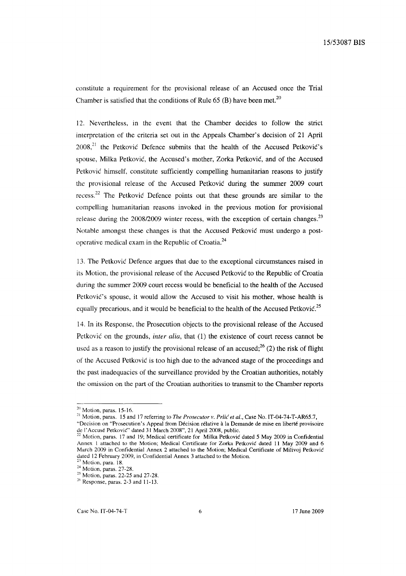constitute a requirement for the provisional release of an Accused once the Trial Chamber is satisfied that the conditions of Rule 65 (B) have been met.<sup>20</sup>

12. Nevertheless, in the event that the Chamber decides to follow the strict interpretation of the criteria set out in the Appeals Chamber's decision of 21 April  $2008<sup>21</sup>$ , the Petković Defence submits that the health of the Accused Petković's spouse, Milka Petkovic, the Accused's mother, Zorka Petkovic, and of the Accused Petkovic himself, constitute sufficiently compelling humanitarian reasons to justify the provisional release of the Accused Petkovic during the summer 2009 court recess.<sup>22</sup> The Petkovic Defence points out that these grounds are similar to the compelling humanitarian reasons invoked in the previous motion for provisional release during the  $2008/2009$  winter recess, with the exception of certain changes.<sup>23</sup> Notable amongst these changes is that the Accused Petkovic must undergo a postoperative medical exam in the Republic of Croatia. $^{24}$ 

13. The Petkovic Defence argues that due to the exceptional circumstances raised in its Motion, the provisional release of the Accused Petkovic to the Republic of Croatia during the summer 2009 court recess would be beneficial to the health of the Accused Petkovic's spouse, it would allow the Accused to visit his mother, whose health is equally precarious, and it would be beneficial to the health of the Accused Petković.<sup>25</sup>

14. In its Response, the Prosecution objects to the provisional release of the Accused Petkovic on the grounds, *inter alia,* that (1) the existence of court recess cannot be used as a reason to justify the provisional release of an accused;<sup>26</sup> (2) the risk of flight of the Accused Petkovic is too high due to the advanced stage of the proceedings and the past inadequacies of the surveillance provided by the Croatian authorities, notably the omission on the part of the Croatian authorities to transmit to the Chamber reports

 $20$  Motion, paras. 15-16.

<sup>21</sup> Motion, paras. 15 and 17 referring to *The Prosecutor v. Prlic et ai.,* Case No. IT-04-74-T-AR65.7,

<sup>&</sup>quot;Decision on "Prosecution's Appeal from Décision rélative à la Demande de mise en liberté provisoire de I' Accuse Petkovic" dated 31 March 2008", 21 April 2008, public.

<sup>&</sup>lt;sup>22</sup> Motion, paras. 17 and 19; Medical certificate for Milka Petkovic dated 5 May 2009 in Confidential Annex I attached to the Motion; Medical Certificate for Zorka Petkovic dated 11 May 2009 and 6 March 2009 in Confidential Annex 2 attached to the Motion; Medical Certificate of Milivoj Petkovic dated 12 February 2009, in Confidential Annex 3 attached to the Motion.

 $23$  Motion, para. 18. <sup>24</sup> Motion, paras. 27-28.

<sup>&</sup>lt;sup>25</sup> Motion, paras. 22-25 and 27-28.

 $26$  Response, paras. 2-3 and 11-13.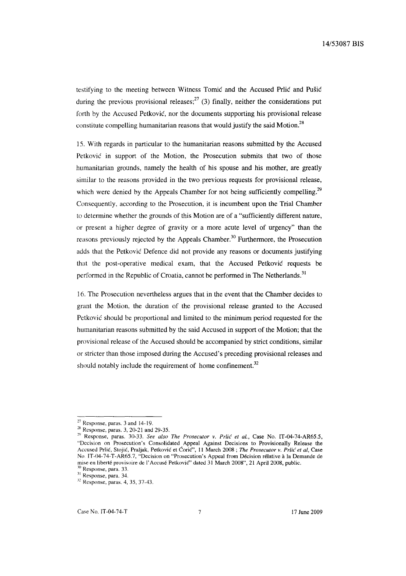testifying to the meeting between Witness Tomic and the Accused Prlic and Pusic during the previous provisional releases;  $27$  (3) finally, neither the considerations put forth by the Accused Petkovic, nor the documents supporting his provisional release constitute compelling humanitarian reasons that would justify the said Motion.<sup>28</sup>

15. With regards in particular to the humanitarian reasons submitted by the Accused Petkovic in support of the Motion, the Prosecution submits that two of those humanitarian grounds, namely the health of his spouse and his mother, are greatly similar to the reasons provided in the two previous requests for provisional release, which were denied by the Appeals Chamber for not being sufficiently compelling.<sup>29</sup> Consequently, according to the Prosecution, it is incumbent upon the Trial Chamber to determine whether the grounds of this Motion are of a "sufficiently different nature, or present a higher degree of gravity or a more acute level of urgency" than the reasons previously rejected by the Appeals Chamber.<sup>30</sup> Furthermore, the Prosecution adds that the Petkovic Defence did not provide any reasons or documents justifying that the post-operative medical exam, that the Accused Petkovic requests be performed in the Republic of Croatia, cannot be performed in The Netherlands.<sup>31</sup>

16. The Prosecution nevertheless argues that in the event that the Chamber decides to grant the Motion, the duration of the provisional release granted to the Accused Petkovic should be proportional and limited to the minimum period requested for the humanitarian reasons submitted by the said Accused in support of the Motion; that the provisional release of the Accused should be accompanied by strict conditions, similar or stricter than those imposed during the Accused's preceding provisional releases and should notably include the requirement of home confinement. $32$ 

Response, para. 33.

 $27$  Response, paras. 3 and 14-19.

<sup>&</sup>lt;sup>28</sup> Response, paras. 3, 20-21 and 29-35.

<sup>2~</sup> Response, paras. 30-33. *See also The Prosecutor v. Prlic et al.,* Case No. IT-04-74-AR65.5, "Decision on Prosecution's Consolidated Appeal Against Decisions to Provisionally Release the Accused Prlic, Stojic, Praljak, Petkovic et CoriC", 11 March 2008 ; *The Prosecutor v. Prlic et ai,* Case No IT-04-74-T-AR65.7, "Decision on "Prosecution's Appeal from Decision relative a la Demande de mise en liberté provisoire de l'Accusé Petković" dated 31 March 2008", 21 April 2008, public.

<sup>&</sup>lt;sup>31</sup> Response, para. 34.

<sup>12</sup> Response, paras. 4, 35, 37-43.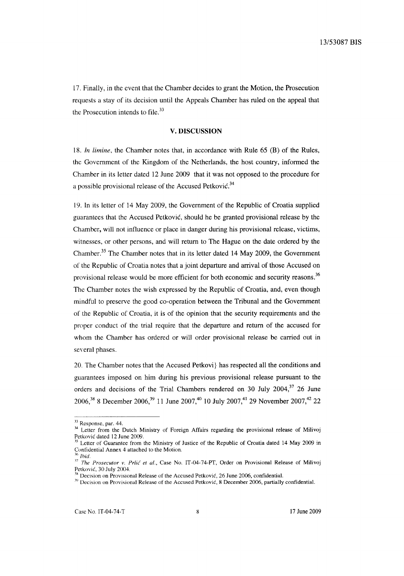17. Finally, in the event that the Chamber decides to grant the Motion, the Prosecution requests a stay of its decision until the Appeals Chamber has ruled on the appeal that the Prosecution intends to file. $^{33}$ 

## V. **DISCUSSION**

*18. In limine,* the Chamber notes that, in accordance with Rule 65 (B) of the Rules, the Government of the Kingdom of the Netherlands, the host country, informed the Chamber in its letter dated 12 June 2009 that it was not opposed to the procedure for a possible provisional release of the Accused Petković.<sup>34</sup>

19. In its letter of 14 May 2009, the Government of the Republic of Croatia supplied guarantees that the Accused Petkovic, should he be granted provisional release by the Chamber, will not influence or place in danger during his provisional release, victims, witnesses, or other persons, and will return to The Hague on the date ordered by the Chamber.35 The Chamber notes that in its letter dated 14 May 2009, the Government of the Republic of Croatia notes that a joint departure and arrival of those Accused on provisional release would be more efficient for both economic and security reasons.<sup>36</sup> The Chamber notes the wish expressed by the Republic of Croatia, and, even though mindful to preserve the good co-operation between the Tribunal and the Government of the Republic of Croatia, it is of the opinion that the security requirements and the proper conduct of the trial require that the departure and return of the accused for whom the Chamber has ordered or will order provisional release be carried out in several phases.

20. The Chamber notes that the Accused Petkovi} has respected all the conditions and guarantees imposed on him during his previous provisional release pursuant to the orders and decisions of the Trial Chambers rendered on 30 July 2004, $37$  26 June 2006,<sup>38</sup> 8 December 2006,<sup>39</sup> 11 June 2007,<sup>40</sup> 10 July 2007,<sup>41</sup> 29 November 2007,<sup>42</sup> 22

<sup>&</sup>lt;sup>33</sup> Response, par. 44.

<sup>&</sup>lt;sup>34</sup> Letter from the Dutch Ministry of Foreign Affairs regarding the provisional release of Milivoj Petkovic dated 12 June 2009.

Letter of Guarantee from the Ministry of Justice of the Republic of Croatia dated 14 May 2009 in Confidential Annex 4 attached to the Motion. *<sup>36</sup> lhid.* 

<sup>&</sup>lt;sup>37</sup> The Prosecutor v. Prlić et al., Case No. IT-04-74-PT, Order on Provisional Release of Milivoj Petkovic. 30 July 2004.

 $38$  Decision on Provisional Release of the Accused Petković, 26 June 2006, confidential.

<sup>&</sup>lt;sup>39</sup> Decision on Provisional Release of the Accused Petković, 8 December 2006, partially confidential.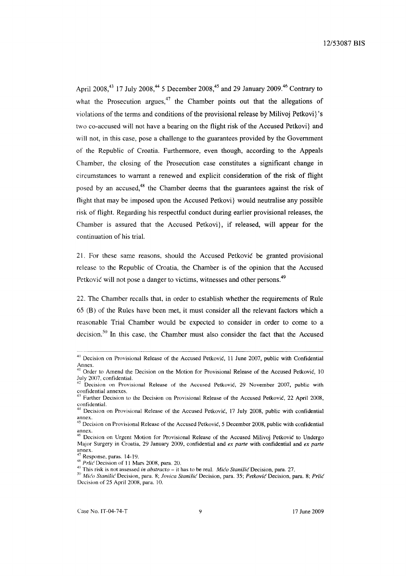April 2008,<sup>43</sup> 17 July 2008,<sup>44</sup> 5 December 2008,<sup>45</sup> and 29 January 2009.<sup>46</sup> Contrary to what the Prosecution argues,  $47$  the Chamber points out that the allegations of violations of the terms and conditions of the provisional release by Milivoj Petkovi}'s two co-accused will not have a bearing on the flight risk of the Accused Petkovi} and will not, in this case, pose a challenge to the guarantees provided by the Government of the Republic of Croatia. Furthermore, even though, according to the Appeals Chamber, the closing of the Prosecution case constitutes a significant change in circumstances to warrant a renewed and explicit consideration of the risk of flight posed by an accused, $48$  the Chamber deems that the guarantees against the risk of flight that may be imposed upon the Accused Petkovi} would neutralise any possible risk of flight. Regarding his respectful conduct during earlier provisional releases, the Chamber is assured that the Accused Petkovi}, if released, will appear for the continuation of his trial.

21. For these same reasons, should the Accused Petkovic be granted provisional release to the Republic of Croatia, the Chamber is of the opinion that the Accused Petković will not pose a danger to victims, witnesses and other persons.<sup>49</sup>

22. The Chamber recalls that, in order to establish whether the requirements of Rule 65 (B) of the Rules have been met, it must consider all the relevant factors which a reasonable Trial Chamber would be expected to consider in order to come to a decision.<sup>50</sup> In this case, the Chamber must also consider the fact that the Accused

<sup>40</sup> Decision on Provisional Release of the Accused Petković, 11 June 2007, public with Confidential Annex.

<sup>&</sup>lt;sup>41</sup> Order to Amend the Decision on the Motion for Provisional Release of the Accused Petković, 10 July 2007, confidential.

Decision on Provisional Release of the Accused Petković, 29 November 2007, public with confidential annexes.

<sup>&</sup>lt;sup>41</sup> Further Decision to the Decision on Provisional Release of the Accused Petković, 22 April 2008, confidential.

<sup>&</sup>lt;sup>44</sup> Decision on Provisional Release of the Accused Petković, 17 July 2008, public with confidential annex.

<sup>&</sup>lt;sup>43</sup> Decision on Provisional Release of the Accused Petković, 5 December 2008, public with confidential annex.

<sup>&</sup>lt;sup>46</sup> Decision on Urgent Motion for Provisional Release of the Accused Milivoj Petković to Undergo Major Surgery in Croatia, 29 January 2009, confidential and *ex parte* with confidential and *ex parte*  annex.

Response, paras. 14-19.

<sup>&</sup>lt;sup>48</sup> *Prlic* Decision of 11 Mars 2008, para. 20.

<sup>&</sup>lt;sup>49</sup> This risk is not assessed *in abstracto* – it has to be real. *Mićo Stanišić* Decision, para. 27.

<sup>50&</sup>lt;sup>50</sup> Mićo Stanišić Decision, para. 8; Jovica Stanišić Decision, para. 35; Petković Decision, para. 8; Prlić Decision of 25 April 2008, para. 10.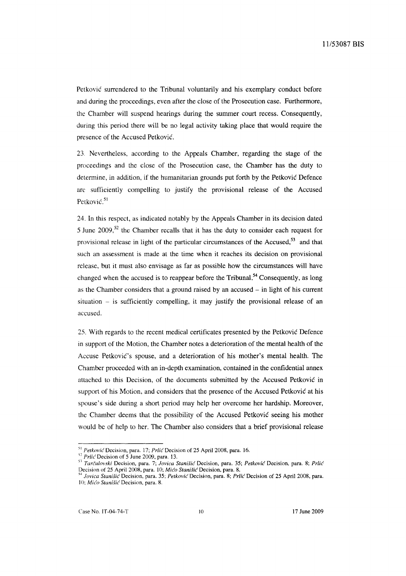Petkovic surrendered to the Tribunal voluntarily and his exemplary conduct before and during the proceedings, even after the close of the Prosecution case. Furthermore, the Chamber will suspend hearings during the summer court recess. Consequently, during this period there will be no legal activity taking place that would require the presence of the Accused Petkovic.

23. Nevertheless, according to the Appeals Chamber, regarding the stage of the proceedings and the close of the Prosecution case, the Chamber has the duty to determine, in addition, if the humanitarian grounds put forth by the Petkovic Defence are sufficiently compelling to justify the provisional release of the Accused Petković.<sup>51</sup>

24. In this respect, as indicated notably by the Appeals Chamber in its decision dated 5 June  $2009$ ,<sup>52</sup> the Chamber recalls that it has the duty to consider each request for provisional release in light of the particular circumstances of the Accused,<sup>53</sup> and that such an assessment is made at the time when it reaches its decision on provisional release, but it must also envisage as far as possible how the circumstances will have changed when the accused is to reappear before the Tribunal.<sup>54</sup> Consequently, as long as the Chamber considers that a ground raised by an accused  $-$  in light of his current situation  $-$  is sufficiently compelling, it may justify the provisional release of an accused.

25. With regards to the recent medical certificates presented by the Petkovic Defence in support of the Motion, the Chamber notes a deterioration of the mental health of the Accuse Petković's spouse, and a deterioration of his mother's mental health. The Chamber proceeded with an in-depth examination, contained in the confidential annex attached to this Decision, of the documents submitted by the Accused Petkovic in support of his Motion, and considers that the presence of the Accused Petkovic at his spouse's side during a short period may help her overcome her hardship. Moreover, the Chamber deems that the possibility of the Accused Petkovic seeing his mother would be of help to her. The Chamber also considers that a brief provisional release

<sup>51</sup>*PetkoviG'* Decision, para. 17; *Prlic* Decision of 25 April 2008, para. 16.

<sup>&</sup>lt;sup>52</sup> Prlic Decision of 5 June 2009, para. 13.

<sup>&</sup>lt;sup>53</sup> Tarčulovski Decision, para. 7; *Jovica Stanišić* Decision, para. 35; Petković Decision, para. 8; Prlić Decision of 25 April 2008, para. 10; Mićo Stanišić Decision, para. 8.

*<sup>54</sup> Jovica StanWc* Decision, para. 35; *Petkovic* Decision, para. 8; *Prlic* Decision of 25 April 2008, para. 10; Mico Stanišic Decision, para. 8.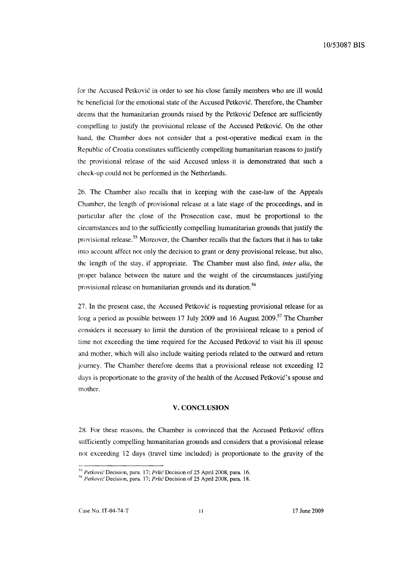for the Accused Petkovic in order to see his close family members who are ill would he heneficial for the emotional state of the Accused Petkovic. Therefore, the Chamber deems that the humanitarian grounds raised by the Petkovic Defence are sufficiently compelling to justify the provisional release of the Accused Petkovic. On the other hand, the Chamber does not consider that a post-operative medical exam in the Republic of Croatia constitutes sufficiently compelling humanitarian reasons to justify the provisional release of the said Accused unless it is demonstrated that such a check-up could not be performed in the Netherlands.

26. The Chamber also recalls that in keeping with the case-law of the Appeals Chamber, the length of provisional release at a late stage of the proceedings, and in particular after the close of the Prosecution case, must be proportional to the circumstances and to the sufficiently compelling humanitarian grounds that justify the provisional release.<sup>55</sup> Moreover, the Chamber recalls that the factors that it has to take into account affect not only the decision to grant or deny provisional release, but also, thc length of the stay, if appropriate. The Chamber must also find, *inter alia,* the proper balance between the nature and the weight of the circumstances justifying provisional release on humanitarian grounds and its duration.<sup>56</sup>

27. In the present case, the Accused Petkovic is requesting provisional release for as long a period as possible between 17 July 2009 and 16 August 2009.<sup>57</sup> The Chamber considers it necessary to limit the duration of the provisional release to a period of time not exceeding the time required for the Accused Petkovic to visit his ill spouse and mother, which will also include waiting periods related to the outward and return journey. The Chamber therefore deems that a provisional release not exceeding 12 days is proportionate to the gravity of the health of the Accused Petkovic's spouse and mother.

#### **V. CONCLUSION**

28. For these reasons, the Chamber is convinced that the Accused Petkovic offers sufficiently compelling humanitarian grounds and considers that a provisional release not exceeding 12 days (travel time included) is proportionate to the gravity of the

<sup>&</sup>lt;sup>55</sup> Petković Decision, para. 17; *Prlić* Decision of 25 April 2008, para. 16.

<sup>&</sup>lt;sup>56</sup> *Petković* Decision, para. 17; *Prlić* Decision of 25 April 2008, para. 18.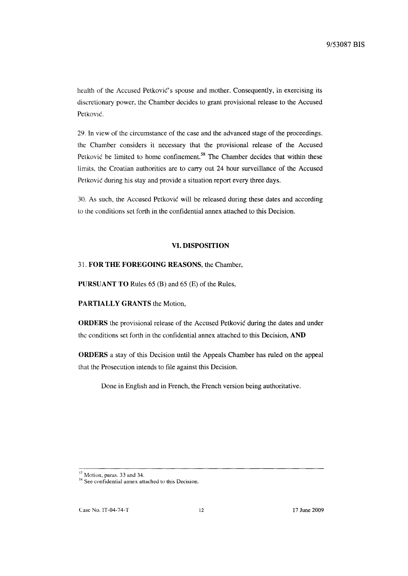health of the Accused Petkovic's spouse and mother. Consequently, in exercising its discretionary power, the Chamber decides to grant provisional release to the Accused Petković.

29. In view of the circumstance of the case and the advanced stage of the proceedings. the Chamber considers it necessary that the provisional release of the Accused Petković be limited to home confinement.<sup>58</sup> The Chamber decides that within these limits, the Croatian authorities are to carry out 24 hour surveillance of the Accused Petković during his stay and provide a situation report every three days.

30. As such, the Accused Petkovic will be released during these dates and according to the conditions set forth in the confidential annex attached to this Decision.

# **VI. DISPOSITION**

#### 31. **FOR THE FOREGOING REASONS,** the Chamber,

**PURSUANT TO** Rules 65 (B) and 65 (E) of the Rules,

**PARTIALLY GRANTS** the Motion,

**ORDERS** the provisional release of the Accused Petkovic during the dates and under the conditions set forth in the confidential annex attached to this Decision, **AND** 

**ORDERS** a stay of this Decision until the Appeals Chamber has ruled on the appeal that the Prosecution intends to file against this Decision.

Done in English and in French, the French version being authoritative.

<sup>&</sup>lt;sup>57</sup> Motion, paras. 33 and 34.

<sup>&</sup>lt;sup>38</sup> See confidential annex attached to this Decision.